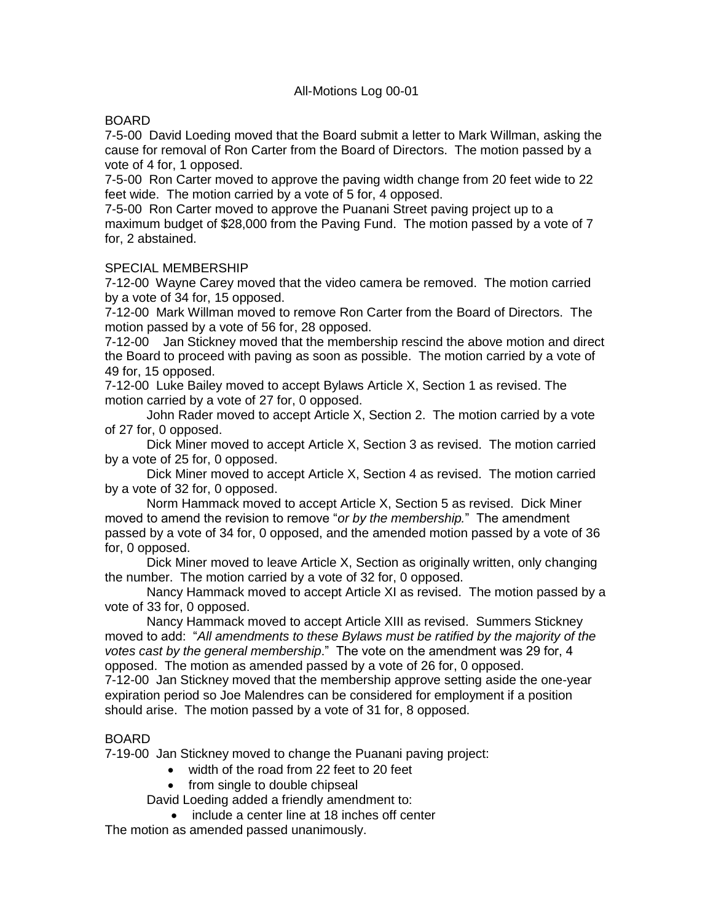### All-Motions Log 00-01

### BOARD

7-5-00 David Loeding moved that the Board submit a letter to Mark Willman, asking the cause for removal of Ron Carter from the Board of Directors. The motion passed by a vote of 4 for, 1 opposed.

7-5-00 Ron Carter moved to approve the paving width change from 20 feet wide to 22 feet wide. The motion carried by a vote of 5 for, 4 opposed.

7-5-00 Ron Carter moved to approve the Puanani Street paving project up to a maximum budget of \$28,000 from the Paving Fund. The motion passed by a vote of 7 for, 2 abstained.

#### SPECIAL MEMBERSHIP

7-12-00 Wayne Carey moved that the video camera be removed. The motion carried by a vote of 34 for, 15 opposed.

7-12-00 Mark Willman moved to remove Ron Carter from the Board of Directors. The motion passed by a vote of 56 for, 28 opposed.

7-12-00 Jan Stickney moved that the membership rescind the above motion and direct the Board to proceed with paving as soon as possible. The motion carried by a vote of 49 for, 15 opposed.

7-12-00 Luke Bailey moved to accept Bylaws Article X, Section 1 as revised. The motion carried by a vote of 27 for, 0 opposed.

John Rader moved to accept Article X, Section 2. The motion carried by a vote of 27 for, 0 opposed.

Dick Miner moved to accept Article X, Section 3 as revised. The motion carried by a vote of 25 for, 0 opposed.

Dick Miner moved to accept Article X, Section 4 as revised. The motion carried by a vote of 32 for, 0 opposed.

Norm Hammack moved to accept Article X, Section 5 as revised. Dick Miner moved to amend the revision to remove "*or by the membership.*" The amendment passed by a vote of 34 for, 0 opposed, and the amended motion passed by a vote of 36 for, 0 opposed.

Dick Miner moved to leave Article X, Section as originally written, only changing the number. The motion carried by a vote of 32 for, 0 opposed.

Nancy Hammack moved to accept Article XI as revised. The motion passed by a vote of 33 for, 0 opposed.

Nancy Hammack moved to accept Article XIII as revised. Summers Stickney moved to add: "*All amendments to these Bylaws must be ratified by the majority of the votes cast by the general membership*." The vote on the amendment was 29 for, 4 opposed. The motion as amended passed by a vote of 26 for, 0 opposed.

7-12-00 Jan Stickney moved that the membership approve setting aside the one-year expiration period so Joe Malendres can be considered for employment if a position should arise. The motion passed by a vote of 31 for, 8 opposed.

## BOARD

7-19-00 Jan Stickney moved to change the Puanani paving project:

- width of the road from 22 feet to 20 feet
- from single to double chipseal

David Loeding added a friendly amendment to:

• include a center line at 18 inches off center

The motion as amended passed unanimously.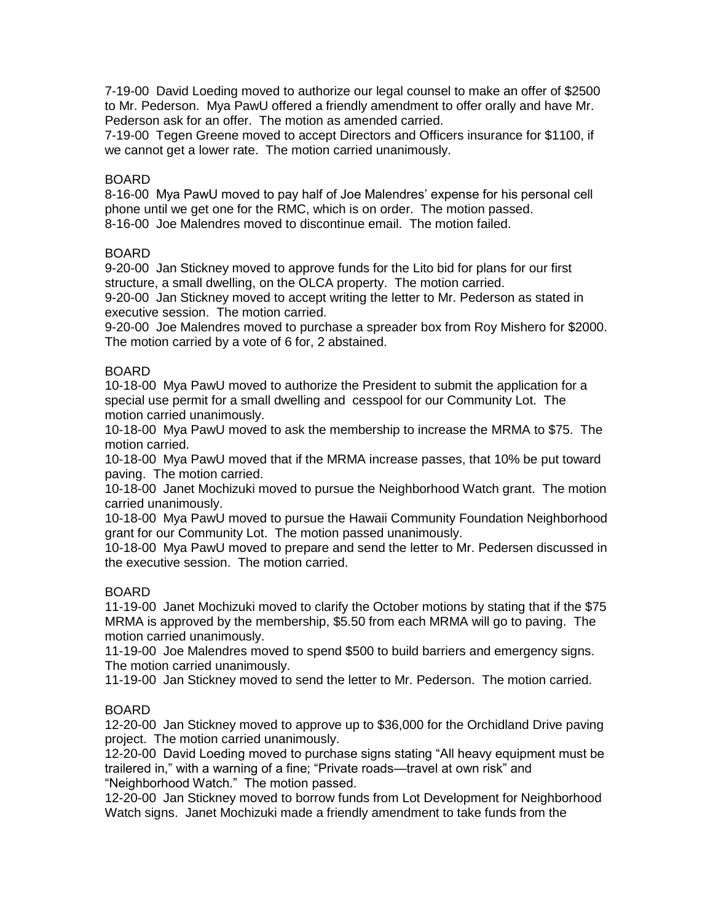7-19-00 David Loeding moved to authorize our legal counsel to make an offer of \$2500 to Mr. Pederson. Mya PawU offered a friendly amendment to offer orally and have Mr. Pederson ask for an offer. The motion as amended carried.

7-19-00 Tegen Greene moved to accept Directors and Officers insurance for \$1100, if we cannot get a lower rate. The motion carried unanimously.

### BOARD

8-16-00 Mya PawU moved to pay half of Joe Malendres' expense for his personal cell phone until we get one for the RMC, which is on order. The motion passed. 8-16-00 Joe Malendres moved to discontinue email. The motion failed.

### BOARD

9-20-00 Jan Stickney moved to approve funds for the Lito bid for plans for our first structure, a small dwelling, on the OLCA property. The motion carried.

9-20-00 Jan Stickney moved to accept writing the letter to Mr. Pederson as stated in executive session. The motion carried.

9-20-00 Joe Malendres moved to purchase a spreader box from Roy Mishero for \$2000. The motion carried by a vote of 6 for, 2 abstained.

### BOARD

10-18-00 Mya PawU moved to authorize the President to submit the application for a special use permit for a small dwelling and cesspool for our Community Lot. The motion carried unanimously.

10-18-00 Mya PawU moved to ask the membership to increase the MRMA to \$75. The motion carried.

10-18-00 Mya PawU moved that if the MRMA increase passes, that 10% be put toward paving. The motion carried.

10-18-00 Janet Mochizuki moved to pursue the Neighborhood Watch grant. The motion carried unanimously.

10-18-00 Mya PawU moved to pursue the Hawaii Community Foundation Neighborhood grant for our Community Lot. The motion passed unanimously.

10-18-00 Mya PawU moved to prepare and send the letter to Mr. Pedersen discussed in the executive session. The motion carried.

#### BOARD

11-19-00 Janet Mochizuki moved to clarify the October motions by stating that if the \$75 MRMA is approved by the membership, \$5.50 from each MRMA will go to paving. The motion carried unanimously.

11-19-00 Joe Malendres moved to spend \$500 to build barriers and emergency signs. The motion carried unanimously.

11-19-00 Jan Stickney moved to send the letter to Mr. Pederson. The motion carried.

## BOARD

12-20-00 Jan Stickney moved to approve up to \$36,000 for the Orchidland Drive paving project. The motion carried unanimously.

12-20-00 David Loeding moved to purchase signs stating "All heavy equipment must be trailered in," with a warning of a fine; "Private roads—travel at own risk" and "Neighborhood Watch." The motion passed.

12-20-00 Jan Stickney moved to borrow funds from Lot Development for Neighborhood Watch signs. Janet Mochizuki made a friendly amendment to take funds from the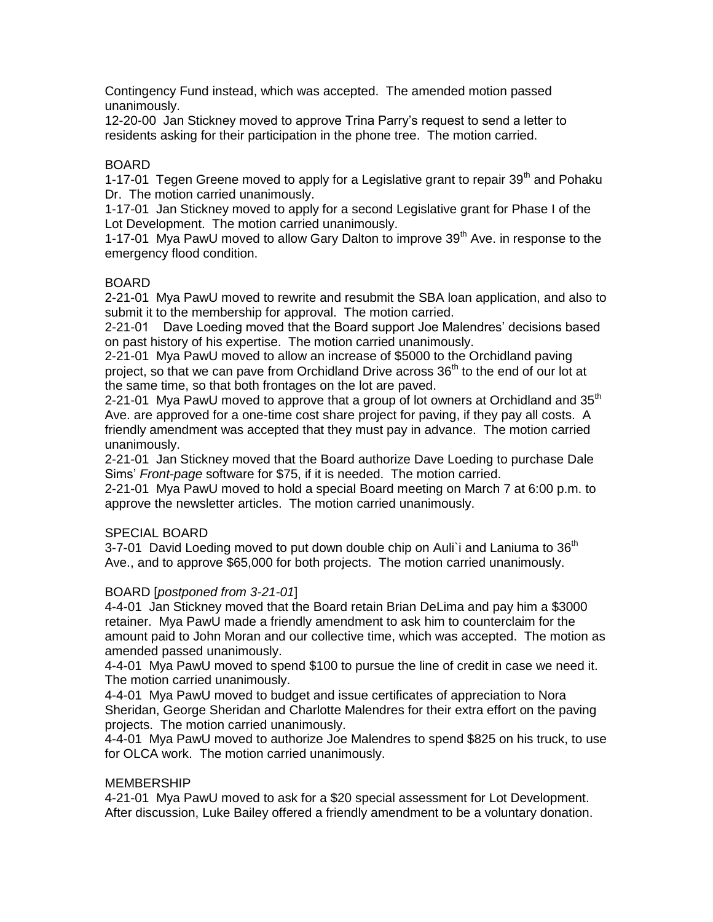Contingency Fund instead, which was accepted. The amended motion passed unanimously.

12-20-00 Jan Stickney moved to approve Trina Parry's request to send a letter to residents asking for their participation in the phone tree. The motion carried.

## BOARD

1-17-01 Tegen Greene moved to apply for a Legislative grant to repair  $39<sup>th</sup>$  and Pohaku Dr. The motion carried unanimously.

1-17-01 Jan Stickney moved to apply for a second Legislative grant for Phase I of the Lot Development. The motion carried unanimously.

1-17-01 Mya PawU moved to allow Gary Dalton to improve  $39<sup>th</sup>$  Ave. in response to the emergency flood condition.

# BOARD

2-21-01 Mya PawU moved to rewrite and resubmit the SBA loan application, and also to submit it to the membership for approval. The motion carried.

2-21-01 Dave Loeding moved that the Board support Joe Malendres' decisions based on past history of his expertise. The motion carried unanimously.

2-21-01 Mya PawU moved to allow an increase of \$5000 to the Orchidland paving project, so that we can pave from Orchidland Drive across  $36<sup>th</sup>$  to the end of our lot at the same time, so that both frontages on the lot are paved.

2-21-01 Mya PawU moved to approve that a group of lot owners at Orchidland and 35<sup>th</sup> Ave. are approved for a one-time cost share project for paving, if they pay all costs. A friendly amendment was accepted that they must pay in advance. The motion carried unanimously.

2-21-01 Jan Stickney moved that the Board authorize Dave Loeding to purchase Dale Sims' *Front-page* software for \$75, if it is needed. The motion carried.

2-21-01 Mya PawU moved to hold a special Board meeting on March 7 at 6:00 p.m. to approve the newsletter articles. The motion carried unanimously.

## SPECIAL BOARD

3-7-01 David Loeding moved to put down double chip on Auli i and Laniuma to  $36<sup>th</sup>$ Ave., and to approve \$65,000 for both projects. The motion carried unanimously.

## BOARD [*postponed from 3-21-01*]

4-4-01 Jan Stickney moved that the Board retain Brian DeLima and pay him a \$3000 retainer. Mya PawU made a friendly amendment to ask him to counterclaim for the amount paid to John Moran and our collective time, which was accepted. The motion as amended passed unanimously.

4-4-01 Mya PawU moved to spend \$100 to pursue the line of credit in case we need it. The motion carried unanimously.

4-4-01 Mya PawU moved to budget and issue certificates of appreciation to Nora Sheridan, George Sheridan and Charlotte Malendres for their extra effort on the paving projects. The motion carried unanimously.

4-4-01 Mya PawU moved to authorize Joe Malendres to spend \$825 on his truck, to use for OLCA work. The motion carried unanimously.

## MEMBERSHIP

4-21-01 Mya PawU moved to ask for a \$20 special assessment for Lot Development. After discussion, Luke Bailey offered a friendly amendment to be a voluntary donation.